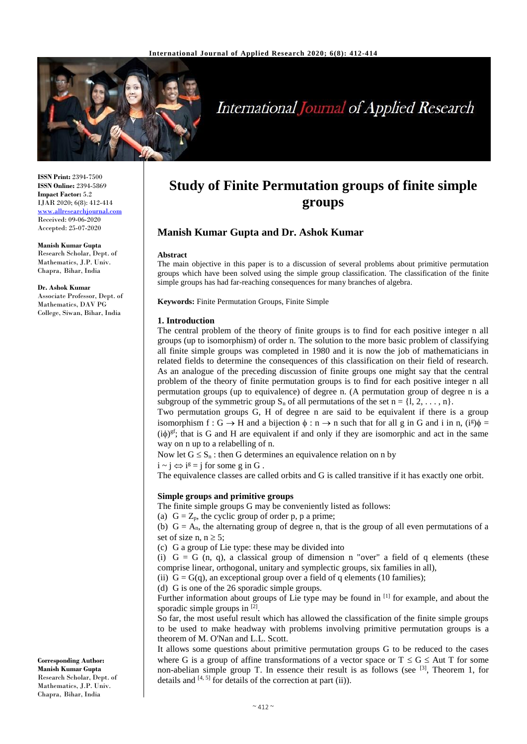

# **International Journal of Applied Research**

**ISSN Print:** 2394-7500 **ISSN Online:** 2394-5869 **Impact Factor:** 5.2 IJAR 2020; 6(8): 412-414 <www.allresearchjournal.com> Received: 09-06-2020 Accepted: 25-07-2020

**Manish Kumar Gupta** Research Scholar, Dept. of Mathematics, J.P. Univ. Chapra, Bihar, India

**Dr. Ashok Kumar**  Associate Professor, Dept. of Mathematics, DAV PG College, Siwan, Bihar, India

#### **Corresponding Author: Manish Kumar Gupta** Research Scholar, Dept. of Mathematics, J.P. Univ. Chapra, Bihar, India

# **Study of Finite Permutation groups of finite simple groups**

# **Manish Kumar Gupta and Dr. Ashok Kumar**

## **Abstract**

The main objective in this paper is to a discussion of several problems about primitive permutation groups which have been solved using the simple group classification. The classification of the finite simple groups has had far-reaching consequences for many branches of algebra.

**Keywords:** Finite Permutation Groups, Finite Simple

### **1. Introduction**

The central problem of the theory of finite groups is to find for each positive integer n all groups (up to isomorphism) of order n. The solution to the more basic problem of classifying all finite simple groups was completed in 1980 and it is now the job of mathematicians in related fields to determine the consequences of this classification on their field of research. As an analogue of the preceding discussion of finite groups one might say that the central problem of the theory of finite permutation groups is to find for each positive integer n all permutation groups (up to equivalence) of degree n. (A permutation group of degree n is a subgroup of the symmetric group  $S_n$  of all permutations of the set  $n = \{1, 2, \ldots, n\}$ .

Two permutation groups G, H of degree n are said to be equivalent if there is a group isomorphism  $f : G \to H$  and a bijection  $\phi : n \to n$  such that for all g in G and i in n,  $(i^g)\phi =$  $(i\phi)$ <sup>gf</sup>; that is G and H are equivalent if and only if they are isomorphic and act in the same way on n up to a relabelling of n.

Now let  $G \leq S_n$ : then G determines an equivalence relation on n by

 $i \sim j \Leftrightarrow i^{g} = j$  for some g in G.

The equivalence classes are called orbits and G is called transitive if it has exactly one orbit.

# **Simple groups and primitive groups**

The finite simple groups G may be conveniently listed as follows:

(a)  $G = Z_p$ , the cyclic group of order p, p a prime;

(b)  $G = A_n$ , the alternating group of degree n, that is the group of all even permutations of a set of size n,  $n \geq 5$ ;

(c) G a group of Lie type: these may be divided into

(i)  $G = G(n, q)$ , a classical group of dimension n "over" a field of q elements (these comprise linear, orthogonal, unitary and symplectic groups, six families in all),

(ii)  $G = G(q)$ , an exceptional group over a field of q elements (10 families);

(d) G is one of the 26 sporadic simple groups.

Further information about groups of Lie type may be found in  $[1]$  for example, and about the sporadic simple groups in [2].

So far, the most useful result which has allowed the classification of the finite simple groups to be used to make headway with problems involving primitive permutation groups is a theorem of M. O'Nan and L.L. Scott.

It allows some questions about primitive permutation groups G to be reduced to the cases where G is a group of affine transformations of a vector space or  $T \le G \le$  Aut T for some non-abelian simple group T. In essence their result is as follows (see  $[3]$ , Theorem 1, for details and  $[4, 5]$  for details of the correction at part (ii)).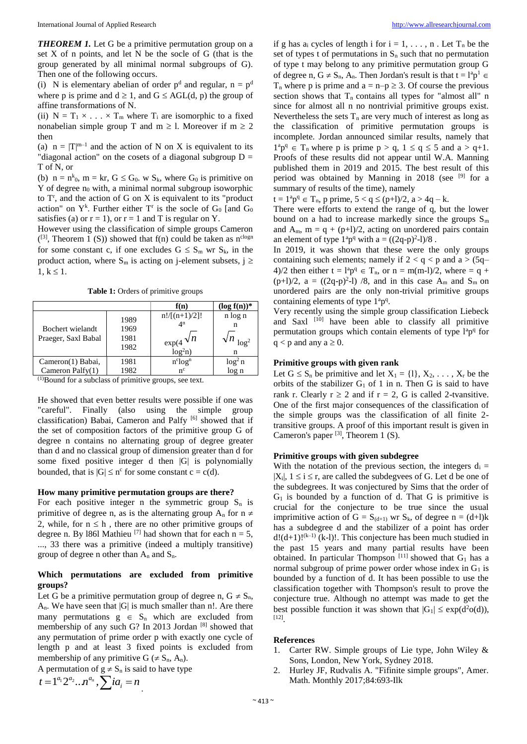*THEOREM 1.* Let G be a primitive permutation group on a set X of n points, and let N be the socle of G (that is the group generated by all minimal normal subgroups of G). Then one of the following occurs.

(i) N is elementary abelian of order  $p<sup>d</sup>$  and regular,  $n = p<sup>d</sup>$ where p is prime and  $d \ge 1$ , and  $G \le AGL(d, p)$  the group of affine transformations of N.

(ii)  $N = T_1 \times ... \times T_m$  where  $T_i$  are isomorphic to a fixed nonabelian simple group T and  $m \ge 1$ . Moreover if  $m \ge 2$ then

(a)  $n = |T|^{m-1}$  and the action of N on X is equivalent to its "diagonal action" on the cosets of a diagonal subgroup  $D =$ T of N, or

(b)  $n = n^{k_0}$ ,  $m = kr$ ,  $G \le G_0$ . w  $S_k$ , where  $G_0$  is primitive on  $Y$  of degree  $n_0$  with, a minimal normal subgroup isoworphic to  $T<sup>r</sup>$ , and the action of G on X is equivalent to its "product action" on  $Y^k$ . Further either  $T^r$  is the socle of  $G_0$  [and  $G_0$ satisfies (a) or  $r = 1$ , or  $r = 1$  and T is regular on Y.

However using the classification of simple groups Cameron  $($ [3], Theorem 1 (S)) showed that f(n) could be taken as n<sup>clogn</sup> for some constant c, if one excludes  $G \leq S_m$  wr  $S_k$ , in the product action, where  $S_m$  is acting on j-element subsets,  $j \geq$  $1, k \leq 1.$ 

**Table 1:** Orders of primitive groups

|                                         |                              | f(n)                                                            | $(\log f(n))^*$               |
|-----------------------------------------|------------------------------|-----------------------------------------------------------------|-------------------------------|
| Bochert wielandt<br>Praeger, Saxl Babal | 1989<br>1969<br>1981<br>1982 | $n!/[(n+1)/2]!$<br>$\Delta$ n<br>$\exp(4\sqrt{n})$<br>$log2n$ ) | n log n<br>n<br>$\log^2$<br>n |
| Cameron(1) Babai,                       | 1981                         | $n^{c}$ log <sup>n</sup>                                        | $\log^2 n$                    |
| Cameron Palfy $(1)$                     | 1982                         | $n^{c}$                                                         | $\log n$                      |

(1)Bound for a subclass of primitive groups, see text.

He showed that even better results were possible if one was "careful". Finally (also using the simple group classification) Babai, Cameron and Palfy [6] showed that if the set of composition factors of the primitive group G of degree n contains no alternating group of degree greater than d and no classical group of dimension greater than d for some fixed positive integer d then |G| is polynomially bounded, that is  $|G| \leq n^c$  for some constant  $c = c(d)$ .

# **How many primitive permutation groups are there?**

For each positive integer n the symmetric group  $S_n$  is primitive of degree n, as is the alternating group  $A_n$  for  $n \neq$ 2, while, for  $n \leq h$ , there are no other primitive groups of degree n. By 1861 Mathieu <sup>[7]</sup> had shown that for each  $n = 5$ , ..., 33 there was a primitive (indeed a multiply transitive) group of degree n other than  $A_n$  and  $S_n$ .

# **Which permutations are excluded from primitive groups?**

Let G be a primitive permutation group of degree n,  $G \neq S_n$ ,  $A_n$ . We have seen that  $|G|$  is much smaller than n!. Are there many permutations  $g \in S_n$  which are excluded from membership of any such G? In 2013 Jordan [8] showed that any permutation of prime order p with exactly one cycle of length p and at least 3 fixed points is excluded from membership of any primitive  $G \neq S_n$ , A<sub>n</sub>).

A permutation of  $g \neq S_n$  is said to have type  $t = 1^{a_1} 2^{a_2} ... n^{a_n} , \sum i a_i = n$ 

if g has  $a_i$  cycles of length i for  $i = 1, \ldots, n$ . Let  $T_n$  be the set of types t of permutations in  $S_n$  such that no permutation of type t may belong to any primitive permutation group G of degree n,  $G \neq S_n$ ,  $A_n$ . Then Jordan's result is that  $t = l^a p^1 \in$  $T_n$  where p is prime and  $a = n-p \geq 3$ . Of course the previous section shows that  $T_n$  contains all types for "almost all" n since for almost all n no nontrivial primitive groups exist. Nevertheless the sets  $T_n$  are very much of interest as long as the classification of primitive permutation groups is incomplete. Jordan announced similar results, namely that  $1^{a}p^{q} \in T_{n}$  where p is prime  $p > q$ ,  $1 \le q \le 5$  and  $a > q+1$ . Proofs of these results did not appear until W.A. Manning published them in 2019 and 2015. The best result of this period was obtained by Manning in 2018 (see  $[9]$  for a summary of results of the time), namely

 $t = 1^{a}p^{q} \in T_{n}$ , p prime,  $5 < q \leq (p+1)/2$ ,  $a > 4q - k$ .

There were efforts to extend the range of q, but the lower bound on a had to increase markedly since the groups  $S_m$ and  $A_m$ ,  $m = q + (p+1)/2$ , acting on unordered pairs contain an element of type  $1^{a}p^{q}$  with a =  $((2q-p)^{2}-1)/8$ .

In 2019, it was shown that these were the only groups containing such elements; namely if  $2 < q < p$  and  $a > (5q-$ 4)/2 then either  $t = l^a p^q \in T_n$ , or  $n = m(m-l)/2$ , where  $= q + l$  $(p+1)/2$ ,  $a = ((2q-p)^2-1)/8$ , and in this case  $A_m$  and  $S_m$  on unordered pairs are the only non-trivial primitive groups containing elements of type  $1^a p^q$ .

Very recently using the simple group classification Liebeck and Saxl <sup>[10]</sup> have been able to classify all primitive permutation groups which contain elements of type l<sup>a</sup>p<sup>q</sup> for  $q < p$  and any  $a \ge 0$ .

# **Primitive groups with given rank**

Let  $G \le S_n$  be primitive and let  $X_1 = \{1\}, X_2, \ldots, X_r$  be the orbits of the stabilizer  $G_1$  of 1 in n. Then G is said to have rank r. Clearly  $r \ge 2$  and if  $r = 2$ , G is called 2-tvansitive. One of the first major consequences of the classification of the simple groups was the classification of all finite 2 transitive groups. A proof of this important result is given in Cameron's paper  $[3]$ , Theorem 1 (S).

## **Primitive groups with given subdegree**

With the notation of the previous section, the integers  $d_i =$  $|X_i|$ ,  $1 \le i \le r$ , are called the subdegvees of G. Let d be one of the subdegrees. It was conjectured by Sims that the order of  $G_1$  is bounded by a function of d. That G is primitive is crucial for the conjecture to be true since the usual imprimitive action of  $G = S_{(d+1)}$  wr  $S_k$ , of degree  $n = (d+1)k$ has a subdegree d and the stabilizer of a point has order  $d!(d+1)!^{(k-1)}$  (k-1)!. This conjecture has been much studied in the past 15 years and many partial results have been obtained. In particular Thompson  $[11]$  showed that  $G_1$  has a normal subgroup of prime power order whose index in  $G_1$  is bounded by a function of d. It has been possible to use the classification together with Thompson's result to prove the conjecture true. Although no attempt was made to get the best possible function it was shown that  $|G_1| \leq \exp(d^2 o(d))$ , [12] .

## **References**

- 1. Carter RW. Simple groups of Lie type, John Wiley & Sons, London, New York, Sydney 2018.
- 2. Hurley JF, Rudvalis A. "Fifinite simple groups", Amer. Math. Monthly 2017;84:693-Ilk